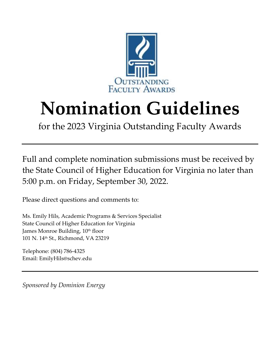

# **Nomination Guidelines**

for the 2023 Virginia Outstanding Faculty Awards

Full and complete nomination submissions must be received by the State Council of Higher Education for Virginia no later than 5:00 p.m. on Friday, September 30, 2022.

Please direct questions and comments to:

Ms. Emily Hils, Academic Programs & Services Specialist State Council of Higher Education for Virginia James Monroe Building, 10<sup>th</sup> floor 101 N. 14th St., Richmond, VA 23219

Telephone: (804) 786-4325 Email: EmilyHils@schev.edu

*Sponsored by Dominion Energy*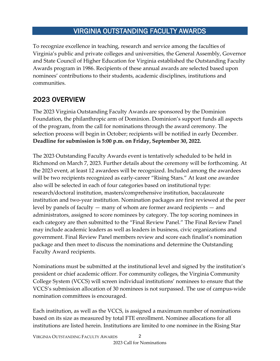# VIRGINIA OUTSTANDING FACULTY AWARDS

To recognize excellence in teaching, research and service among the faculties of Virginia's public and private colleges and universities, the General Assembly, Governor and State Council of Higher Education for Virginia established the Outstanding Faculty Awards program in 1986. Recipients of these annual awards are selected based upon nominees' contributions to their students, academic disciplines, institutions and communities.

# 2023 OVERVIEW

The 2023 Virginia Outstanding Faculty Awards are sponsored by the Dominion Foundation, the philanthropic arm of Dominion. Dominion's support funds all aspects of the program, from the call for nominations through the award ceremony*.* The selection process will begin in October; recipients will be notified in early December. **Deadline for submission is 5:00 p.m. on Friday, September 30, 2022.**

The 2023 Outstanding Faculty Awards event is tentatively scheduled to be held in Richmond on March 7, 2023. Further details about the ceremony will be forthcoming. At the 2023 event, at least 12 awardees will be recognized. Included among the awardees will be two recipients recognized as early-career "Rising Stars." At least one awardee also will be selected in each of four categories based on institutional type: research/doctoral institution, masters/comprehensive institution, baccalaureate institution and two-year institution. Nomination packages are first reviewed at the peer level by panels of faculty — many of whom are former award recipients — and administrators, assigned to score nominees by category. The top scoring nominees in each category are then submitted to the "Final Review Panel." The Final Review Panel may include academic leaders as well as leaders in business, civic organizations and government. Final Review Panel members review and score each finalist's nomination package and then meet to discuss the nominations and determine the Outstanding Faculty Award recipients.

Nominations must be submitted at the institutional level and signed by the institution's president or chief academic officer. For community colleges, the Virginia Community College System (VCCS) will screen individual institutions' nominees to ensure that the VCCS's submission allocation of 30 nominees is not surpassed. The use of campus-wide nomination committees is encouraged.

Each institution, as well as the VCCS, is assigned a maximum number of nominations based on its size as measured by total FTE enrollment. Nominee allocations for all institutions are listed herein. Institutions are limited to one nominee in the Rising Star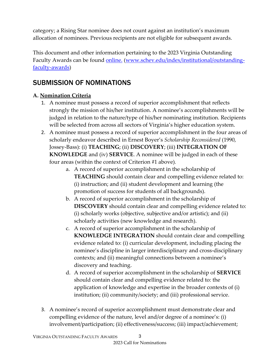category; a Rising Star nominee does not count against an institution's maximum allocation of nominees. Previous recipients are not eligible for subsequent awards.

This document and other information pertaining to the 2023 Virginia Outstanding Faculty Awards can be found [online.](http://www.schev.edu/index/institutional/outstanding-faculty-awards) [\(www.schev.edu/index/institutional/outstanding](http://www.schev.edu/index/institutional/outstanding-faculty-awards)[faculty-awards\)](http://www.schev.edu/index/institutional/outstanding-faculty-awards)

# SUBMISSION OF NOMINATIONS

## **A. Nomination Criteria**

- 1. A nominee must possess a record of superior accomplishment that reflects strongly the mission of his/her institution. A nominee's accomplishments will be judged in relation to the nature/type of his/her nominating institution. Recipients will be selected from across all sectors of Virginia's higher education system.
- 2. A nominee must possess a record of superior accomplishment in the four areas of scholarly endeavor described in Ernest Boyer's *Scholarship Reconsidered* (1990, Jossey-Bass): (i) **TEACHING**; (ii) **DISCOVERY**; (iii) **INTEGRATION OF KNOWLEDGE** and (iv) **SERVICE**. A nominee will be judged in each of these four areas (within the context of Criterion #1 above)*.*
	- a. A record of superior accomplishment in the scholarship of **TEACHING** should contain clear and compelling evidence related to: (i) instruction; and (ii) student development and learning (the promotion of success for students of all backgrounds).
	- b. A record of superior accomplishment in the scholarship of **DISCOVERY** should contain clear and compelling evidence related to: (i) scholarly works (objective, subjective and/or artistic); and (ii) scholarly activities (new knowledge and research).
	- c. A record of superior accomplishment in the scholarship of **KNOWLEDGE INTEGRATION** should contain clear and compelling evidence related to: (i) curricular development, including placing the nominee's discipline in larger interdisciplinary and cross-disciplinary contexts; and (ii) meaningful connections between a nominee's discovery and teaching.
	- d. A record of superior accomplishment in the scholarship of **SERVICE** should contain clear and compelling evidence related to: the application of knowledge and expertise in the broader contexts of (i) institution; (ii) community/society; and (iii) professional service.
- 3. A nominee's record of superior accomplishment must demonstrate clear and compelling evidence of the nature, level and/or degree of a nominee's: (i) involvement/participation; (ii) effectiveness/success; (iii) impact/achievement;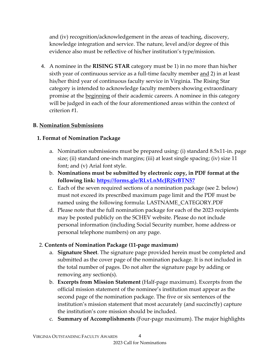and (iv) recognition/acknowledgement in the areas of teaching, discovery, knowledge integration and service. The nature, level and/or degree of this evidence also must be reflective of his/her institution's type/mission.

4. A nominee in the **RISING STAR** category must be 1) in no more than his/her sixth year of continuous service as a full-time faculty member <u>and</u> 2) in at least his/her third year of continuous faculty service in Virginia. The Rising Star category is intended to acknowledge faculty members showing extraordinary promise at the beginning of their academic careers. A nominee in this category will be judged in each of the four aforementioned areas within the context of criterion #1.

#### **B. Nomination Submissions**

#### **1. Format of Nomination Package**

- a. Nomination submissions must be prepared using: (i) standard 8.5x11-in. page size; (ii) standard one-inch margins; (iii) at least single spacing; (iv) size 11 font; and (v) Arial font style.
- b. **Nominations must be submitted by electronic copy, in PDF format at the following link:<https://forms.gle/RLvLnMcJRjSrBTN57>**
- c. Each of the seven required sections of a nomination package (see 2. below) must not exceed its prescribed maximum page limit and the PDF must be named using the following formula: LASTNAME\_CATEGORY.PDF
- d. Please note that the full nomination package for each of the 2023 recipients may be posted publicly on the SCHEV website. Please do not include personal information (including Social Security number, home address or personal telephone numbers) on any page.

#### 2. **Contents of Nomination Package (11-page maximum)**

- a. **Signature Sheet**. The signature page provided herein must be completed and submitted as the cover page of the nomination package. It is not included in the total number of pages. Do not alter the signature page by adding or removing any section(s).
- b. **Excerpts from Mission Statement** (Half-page maximum). Excerpts from the official mission statement of the nominee's institution must appear as the second page of the nomination package. The five or six sentences of the institution's mission statement that most accurately (and succinctly) capture the institution's core mission should be included.
- c. **Summary of Accomplishments** (Four-page maximum). The major highlights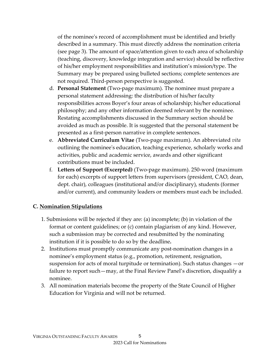of the nominee's record of accomplishment must be identified and briefly described in a summary. This must directly address the nomination criteria (see page 3). The amount of space/attention given to each area of scholarship (teaching, discovery, knowledge integration and service) should be reflective of his/her employment responsibilities and institution's mission/type. The Summary may be prepared using bulleted sections; complete sentences are not required. Third-person perspective is suggested.

- d. **Personal Statement** (Two-page maximum). The nominee must prepare a personal statement addressing: the distribution of his/her faculty responsibilities across Boyer's four areas of scholarship; his/her educational philosophy; and any other information deemed relevant by the nominee. Restating accomplishments discussed in the Summary section should be avoided as much as possible. It is suggested that the personal statement be presented as a first-person narrative in complete sentences.
- e. **Abbreviated Curriculum Vitae** (Two-page maximum). An abbreviated *vita* outlining the nominee's education, teaching experience, scholarly works and activities, public and academic service, awards and other significant contributions must be included.
- f. **Letters of Support (Excerpted)** (Two-page maximum). 250-word (maximum for each) excerpts of support letters from supervisors (president, CAO, dean, dept. chair), colleagues (institutional and/or disciplinary), students (former and/or current), and community leaders or members must each be included.

#### **C. Nomination Stipulations**

- 1. Submissions will be rejected if they are: (a) incomplete; (b) in violation of the format or content guidelines; or (c) contain plagiarism of any kind. However, such a submission may be corrected and resubmitted by the nominating institution if it is possible to do so by the deadline**.**
- 2. Institutions must promptly communicate any post-nomination changes in a nominee's employment status (e.g., promotion, retirement, resignation, suspension for acts of moral turpitude or termination). Such status changes —or failure to report such—may, at the Final Review Panel's discretion, disqualify a nominee.
- 3. All nomination materials become the property of the State Council of Higher Education for Virginia and will not be returned.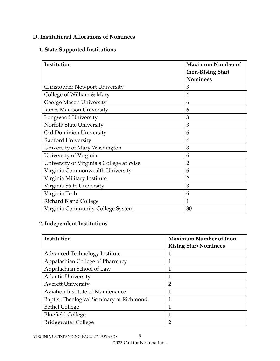## **D. Institutional Allocations of Nominees**

#### **1. State-Supported Institutions**

| Institution                              | <b>Maximum Number of</b>             |
|------------------------------------------|--------------------------------------|
|                                          | (non-Rising Star)<br><b>Nominees</b> |
| <b>Christopher Newport University</b>    | 3                                    |
| College of William & Mary                | $\overline{4}$                       |
| George Mason University                  | 6                                    |
| <b>James Madison University</b>          | 6                                    |
| Longwood University                      | 3                                    |
| <b>Norfolk State University</b>          | 3                                    |
| Old Dominion University                  | 6                                    |
| Radford University                       | 4                                    |
| University of Mary Washington            | 3                                    |
| University of Virginia                   | 6                                    |
| University of Virginia's College at Wise | 2                                    |
| Virginia Commonwealth University         | 6                                    |
| Virginia Military Institute              | $\overline{2}$                       |
| Virginia State University                | 3                                    |
| Virginia Tech                            | 6                                    |
| <b>Richard Bland College</b>             | 1                                    |
| Virginia Community College System        | 30                                   |

#### **2. Independent Institutions**

| Institution                              | <b>Maximum Number of (non-</b> |
|------------------------------------------|--------------------------------|
|                                          | <b>Rising Star) Nominees</b>   |
| Advanced Technology Institute            |                                |
| Appalachian College of Pharmacy          |                                |
| Appalachian School of Law                | 1                              |
| <b>Atlantic University</b>               | 1                              |
| <b>Averett University</b>                | $\overline{2}$                 |
| Aviation Institute of Maintenance        | 1                              |
| Baptist Theological Seminary at Richmond | 1                              |
| <b>Bethel College</b>                    | 1                              |
| <b>Bluefield College</b>                 | 1                              |
| <b>Bridgewater College</b>               | 2                              |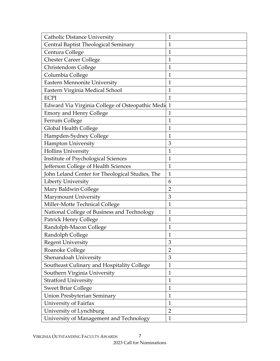| <b>Catholic Distance University</b>             | $\mathbf{1}$   |
|-------------------------------------------------|----------------|
| Central Baptist Theological Seminary            | $\mathbf{1}$   |
| Centura College                                 | $\mathbf{1}$   |
| <b>Chester Career College</b>                   | $\mathbf{1}$   |
| Christendom College                             | $\mathbf{1}$   |
| Columbia College                                | $\mathbf{1}$   |
| Eastern Mennonite University                    | $\mathbf{1}$   |
| Eastern Virginia Medical School                 | $\mathbf{1}$   |
| <b>ECPI</b>                                     | $\mathbf{1}$   |
| Edward Via Virginia College of Osteopathic Medi | $\mathbf{1}$   |
| <b>Emory and Henry College</b>                  | 1              |
| Ferrum College                                  | $\mathbf{1}$   |
| Global Health College                           | $\mathbf 1$    |
| Hampden-Sydney College                          | $\mathbf{1}$   |
| <b>Hampton University</b>                       | 3              |
| <b>Hollins University</b>                       | $\mathbf{1}$   |
| Institute of Psychological Sciences             | $\mathbf{1}$   |
| Jefferson College of Health Sciences            | $\mathbf 1$    |
| John Leland Center for Theological Studies, The | $\mathbf{1}$   |
| Liberty University                              | 6              |
| Mary Baldwin College                            | $\overline{2}$ |
| Marymount University                            | 3              |
| Miller-Motte Technical College                  | $\mathbf{1}$   |
| National College of Business and Technology     | $\mathbf{1}$   |
| Patrick Henry College                           | $\mathbf{1}$   |
| Randolph-Macon College                          | $\mathbf{1}$   |
| Randolph College                                | $\mathbf 1$    |
| <b>Regent University</b>                        | 3              |
| Roanoke College                                 | $\overline{2}$ |
| Shenandoah University                           | 3              |
| Southeast Culinary and Hospitality College      | $\mathbf{1}$   |
| Southern Virginia University                    | $\mathbf{1}$   |
| <b>Stratford University</b>                     | $\mathbf{1}$   |
| <b>Sweet Briar College</b>                      | $\mathbf{1}$   |
| <b>Union Presbyterian Seminary</b>              | $\mathbf{1}$   |
| University of Fairfax                           | $\mathbf{1}$   |
| University of Lynchburg                         | $\overline{2}$ |
| University of Management and Technology         | $\mathbf{1}$   |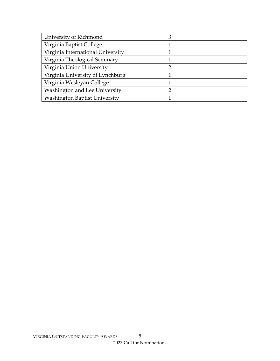| University of Richmond               | 3              |
|--------------------------------------|----------------|
| Virginia Baptist College             |                |
| Virginia International University    |                |
| Virginia Theological Seminary        |                |
| Virginia Union University            | $\overline{2}$ |
| Virginia University of Lynchburg     |                |
| Virginia Wesleyan College            |                |
| Washington and Lee University        |                |
| <b>Washington Baptist University</b> |                |